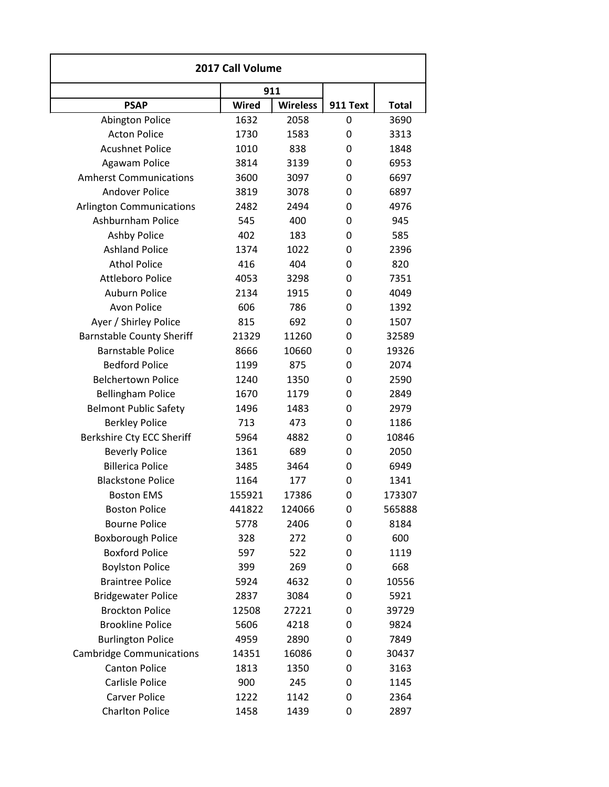| 2017 Call Volume                 |              |                 |          |              |
|----------------------------------|--------------|-----------------|----------|--------------|
|                                  |              | 911             |          |              |
| <b>PSAP</b>                      | <b>Wired</b> | <b>Wireless</b> | 911 Text | <b>Total</b> |
| <b>Abington Police</b>           | 1632         | 2058            | 0        | 3690         |
| <b>Acton Police</b>              | 1730         | 1583            | 0        | 3313         |
| <b>Acushnet Police</b>           | 1010         | 838             | 0        | 1848         |
| Agawam Police                    | 3814         | 3139            | 0        | 6953         |
| <b>Amherst Communications</b>    | 3600         | 3097            | 0        | 6697         |
| <b>Andover Police</b>            | 3819         | 3078            | 0        | 6897         |
| <b>Arlington Communications</b>  | 2482         | 2494            | 0        | 4976         |
| Ashburnham Police                | 545          | 400             | 0        | 945          |
| <b>Ashby Police</b>              | 402          | 183             | 0        | 585          |
| <b>Ashland Police</b>            | 1374         | 1022            | 0        | 2396         |
| <b>Athol Police</b>              | 416          | 404             | 0        | 820          |
| <b>Attleboro Police</b>          | 4053         | 3298            | 0        | 7351         |
| Auburn Police                    | 2134         | 1915            | 0        | 4049         |
| <b>Avon Police</b>               | 606          | 786             | 0        | 1392         |
| Ayer / Shirley Police            | 815          | 692             | 0        | 1507         |
| <b>Barnstable County Sheriff</b> | 21329        | 11260           | 0        | 32589        |
| <b>Barnstable Police</b>         | 8666         | 10660           | 0        | 19326        |
| <b>Bedford Police</b>            | 1199         | 875             | 0        | 2074         |
| <b>Belchertown Police</b>        | 1240         | 1350            | 0        | 2590         |
| <b>Bellingham Police</b>         | 1670         | 1179            | 0        | 2849         |
| <b>Belmont Public Safety</b>     | 1496         | 1483            | 0        | 2979         |
| <b>Berkley Police</b>            | 713          | 473             | 0        | 1186         |
| Berkshire Cty ECC Sheriff        | 5964         | 4882            | 0        | 10846        |
| <b>Beverly Police</b>            | 1361         | 689             | 0        | 2050         |
| <b>Billerica Police</b>          | 3485         | 3464            | 0        | 6949         |
| <b>Blackstone Police</b>         | 1164         | 177             | 0        | 1341         |
| <b>Boston EMS</b>                | 155921       | 17386           | 0        | 173307       |
| <b>Boston Police</b>             | 441822       | 124066          | 0        | 565888       |
| <b>Bourne Police</b>             | 5778         | 2406            | 0        | 8184         |
| <b>Boxborough Police</b>         | 328          | 272             | 0        | 600          |
| <b>Boxford Police</b>            | 597          | 522             | 0        | 1119         |
| <b>Boylston Police</b>           | 399          | 269             | 0        | 668          |
| <b>Braintree Police</b>          | 5924         | 4632            | 0        | 10556        |
| <b>Bridgewater Police</b>        | 2837         | 3084            | 0        | 5921         |
| <b>Brockton Police</b>           | 12508        | 27221           | 0        | 39729        |
| <b>Brookline Police</b>          | 5606         | 4218            | 0        | 9824         |
| <b>Burlington Police</b>         | 4959         | 2890            | 0        | 7849         |
| <b>Cambridge Communications</b>  | 14351        | 16086           | 0        | 30437        |
| <b>Canton Police</b>             | 1813         | 1350            | 0        | 3163         |
| Carlisle Police                  | 900          | 245             | 0        | 1145         |
| <b>Carver Police</b>             | 1222         | 1142            | 0        | 2364         |
| <b>Charlton Police</b>           | 1458         | 1439            | 0        | 2897         |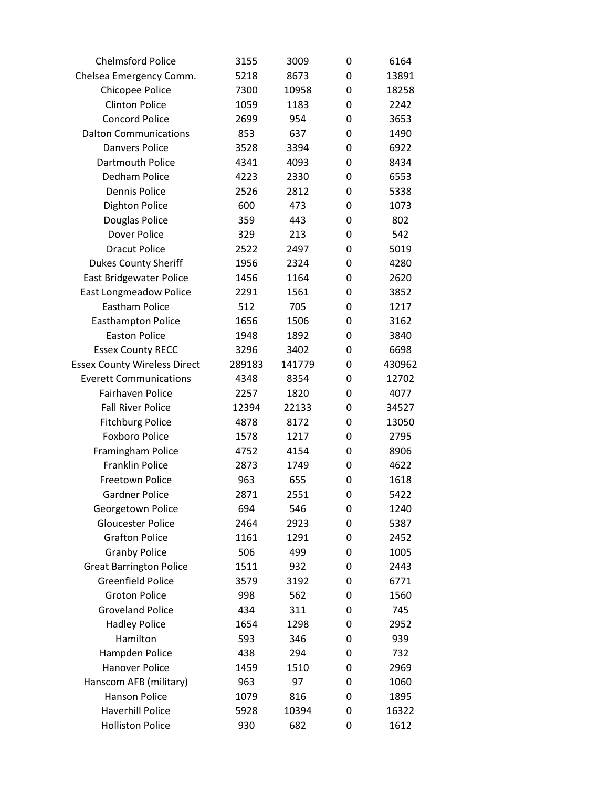| <b>Chelmsford Police</b>            | 3155   | 3009   | 0 | 6164   |  |
|-------------------------------------|--------|--------|---|--------|--|
| Chelsea Emergency Comm.             | 5218   | 8673   | 0 | 13891  |  |
| Chicopee Police                     | 7300   | 10958  | 0 | 18258  |  |
| <b>Clinton Police</b>               | 1059   | 1183   | 0 | 2242   |  |
| <b>Concord Police</b>               | 2699   | 954    | 0 | 3653   |  |
| <b>Dalton Communications</b>        | 853    | 637    | 0 | 1490   |  |
| <b>Danvers Police</b>               | 3528   | 3394   | 0 | 6922   |  |
| Dartmouth Police                    | 4341   | 4093   | 0 | 8434   |  |
| Dedham Police                       | 4223   | 2330   | 0 | 6553   |  |
| <b>Dennis Police</b>                | 2526   | 2812   | 0 | 5338   |  |
| <b>Dighton Police</b>               | 600    | 473    | 0 | 1073   |  |
| Douglas Police                      | 359    | 443    | 0 | 802    |  |
| Dover Police                        | 329    | 213    | 0 | 542    |  |
| <b>Dracut Police</b>                | 2522   | 2497   | 0 | 5019   |  |
| <b>Dukes County Sheriff</b>         | 1956   | 2324   | 0 | 4280   |  |
| East Bridgewater Police             | 1456   | 1164   | 0 | 2620   |  |
| <b>East Longmeadow Police</b>       | 2291   | 1561   | 0 | 3852   |  |
| <b>Eastham Police</b>               | 512    | 705    | 0 | 1217   |  |
| <b>Easthampton Police</b>           | 1656   | 1506   | 0 | 3162   |  |
| <b>Easton Police</b>                | 1948   | 1892   | 0 | 3840   |  |
| <b>Essex County RECC</b>            | 3296   | 3402   | 0 | 6698   |  |
| <b>Essex County Wireless Direct</b> | 289183 | 141779 | 0 | 430962 |  |
| <b>Everett Communications</b>       | 4348   | 8354   | 0 | 12702  |  |
| Fairhaven Police                    | 2257   | 1820   | 0 | 4077   |  |
| <b>Fall River Police</b>            | 12394  | 22133  | 0 | 34527  |  |
| <b>Fitchburg Police</b>             | 4878   | 8172   | 0 | 13050  |  |
| <b>Foxboro Police</b>               | 1578   | 1217   | 0 | 2795   |  |
| Framingham Police                   | 4752   | 4154   | 0 | 8906   |  |
| <b>Franklin Police</b>              | 2873   | 1749   | 0 | 4622   |  |
| Freetown Police                     | 963    | 655    | 0 | 1618   |  |
| <b>Gardner Police</b>               | 2871   | 2551   | 0 | 5422   |  |
| Georgetown Police                   | 694    | 546    | 0 | 1240   |  |
| <b>Gloucester Police</b>            | 2464   | 2923   | 0 | 5387   |  |
| <b>Grafton Police</b>               | 1161   | 1291   | 0 | 2452   |  |
| <b>Granby Police</b>                | 506    | 499    | 0 | 1005   |  |
| <b>Great Barrington Police</b>      | 1511   | 932    | 0 | 2443   |  |
| <b>Greenfield Police</b>            | 3579   | 3192   | 0 | 6771   |  |
| <b>Groton Police</b>                | 998    | 562    | 0 | 1560   |  |
| <b>Groveland Police</b>             | 434    | 311    | 0 | 745    |  |
| <b>Hadley Police</b>                | 1654   | 1298   | 0 | 2952   |  |
| Hamilton                            | 593    | 346    | 0 | 939    |  |
| Hampden Police                      | 438    | 294    | 0 | 732    |  |
| <b>Hanover Police</b>               | 1459   | 1510   | 0 | 2969   |  |
| Hanscom AFB (military)              | 963    | 97     | 0 | 1060   |  |
| <b>Hanson Police</b>                | 1079   | 816    | 0 | 1895   |  |
| <b>Haverhill Police</b>             | 5928   | 10394  | 0 | 16322  |  |
| <b>Holliston Police</b>             | 930    | 682    | 0 | 1612   |  |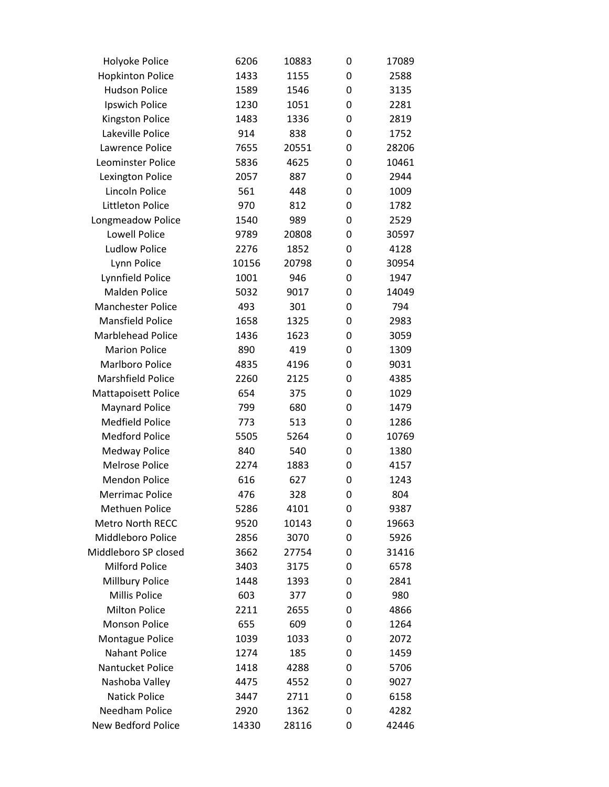| Holyoke Police             | 6206  | 10883 | 0 | 17089 |
|----------------------------|-------|-------|---|-------|
| <b>Hopkinton Police</b>    | 1433  | 1155  | 0 | 2588  |
| <b>Hudson Police</b>       | 1589  | 1546  | 0 | 3135  |
| Ipswich Police             | 1230  | 1051  | 0 | 2281  |
| <b>Kingston Police</b>     | 1483  | 1336  | 0 | 2819  |
| Lakeville Police           | 914   | 838   | 0 | 1752  |
| Lawrence Police            | 7655  | 20551 | 0 | 28206 |
| Leominster Police          | 5836  | 4625  | 0 | 10461 |
| Lexington Police           | 2057  | 887   | 0 | 2944  |
| Lincoln Police             | 561   | 448   | 0 | 1009  |
| <b>Littleton Police</b>    | 970   | 812   | 0 | 1782  |
| Longmeadow Police          | 1540  | 989   | 0 | 2529  |
| <b>Lowell Police</b>       | 9789  | 20808 | 0 | 30597 |
| <b>Ludlow Police</b>       | 2276  | 1852  | 0 | 4128  |
| Lynn Police                | 10156 | 20798 | 0 | 30954 |
| Lynnfield Police           | 1001  | 946   | 0 | 1947  |
| <b>Malden Police</b>       | 5032  | 9017  | 0 | 14049 |
| <b>Manchester Police</b>   | 493   | 301   | 0 | 794   |
| <b>Mansfield Police</b>    | 1658  | 1325  | 0 | 2983  |
| Marblehead Police          | 1436  | 1623  | 0 | 3059  |
| <b>Marion Police</b>       | 890   | 419   | 0 | 1309  |
| <b>Marlboro Police</b>     | 4835  | 4196  | 0 | 9031  |
| <b>Marshfield Police</b>   | 2260  | 2125  | 0 | 4385  |
| <b>Mattapoisett Police</b> | 654   | 375   | 0 | 1029  |
| <b>Maynard Police</b>      | 799   | 680   | 0 | 1479  |
| <b>Medfield Police</b>     | 773   | 513   | 0 | 1286  |
| <b>Medford Police</b>      | 5505  | 5264  | 0 | 10769 |
| <b>Medway Police</b>       | 840   | 540   | 0 | 1380  |
| <b>Melrose Police</b>      | 2274  | 1883  | 0 | 4157  |
| <b>Mendon Police</b>       | 616   | 627   | 0 | 1243  |
| <b>Merrimac Police</b>     | 476   | 328   | 0 | 804   |
| <b>Methuen Police</b>      | 5286  | 4101  | 0 | 9387  |
| <b>Metro North RECC</b>    | 9520  | 10143 | 0 | 19663 |
| Middleboro Police          | 2856  | 3070  | 0 | 5926  |
| Middleboro SP closed       | 3662  | 27754 | 0 | 31416 |
| Milford Police             | 3403  | 3175  | 0 | 6578  |
| Millbury Police            | 1448  | 1393  | 0 | 2841  |
| Millis Police              | 603   | 377   | 0 | 980   |
| <b>Milton Police</b>       | 2211  | 2655  | 0 | 4866  |
| <b>Monson Police</b>       | 655   | 609   | 0 | 1264  |
| <b>Montague Police</b>     | 1039  | 1033  | 0 | 2072  |
| <b>Nahant Police</b>       | 1274  | 185   | 0 | 1459  |
| Nantucket Police           | 1418  | 4288  | 0 | 5706  |
| Nashoba Valley             | 4475  | 4552  | 0 | 9027  |
| <b>Natick Police</b>       | 3447  | 2711  | 0 | 6158  |
| <b>Needham Police</b>      | 2920  | 1362  | 0 | 4282  |
| New Bedford Police         | 14330 | 28116 | 0 | 42446 |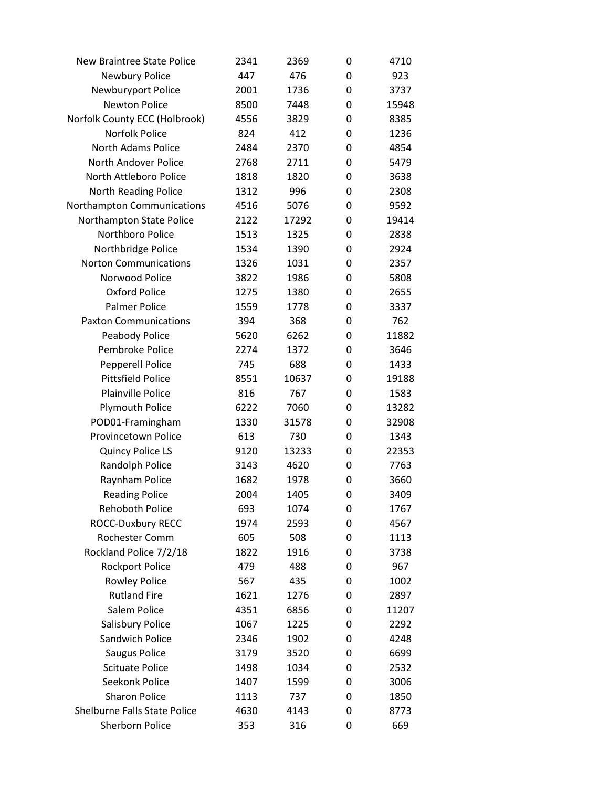| <b>New Braintree State Police</b> | 2341 | 2369  | 0 | 4710  |
|-----------------------------------|------|-------|---|-------|
| Newbury Police                    | 447  | 476   | 0 | 923   |
| Newburyport Police                | 2001 | 1736  | 0 | 3737  |
| <b>Newton Police</b>              | 8500 | 7448  | 0 | 15948 |
| Norfolk County ECC (Holbrook)     | 4556 | 3829  | 0 | 8385  |
| <b>Norfolk Police</b>             | 824  | 412   | 0 | 1236  |
| <b>North Adams Police</b>         | 2484 | 2370  | 0 | 4854  |
| North Andover Police              | 2768 | 2711  | 0 | 5479  |
| North Attleboro Police            | 1818 | 1820  | 0 | 3638  |
| North Reading Police              | 1312 | 996   | 0 | 2308  |
| Northampton Communications        | 4516 | 5076  | 0 | 9592  |
| Northampton State Police          | 2122 | 17292 | 0 | 19414 |
| Northboro Police                  | 1513 | 1325  | 0 | 2838  |
| Northbridge Police                | 1534 | 1390  | 0 | 2924  |
| <b>Norton Communications</b>      | 1326 | 1031  | 0 | 2357  |
| Norwood Police                    | 3822 | 1986  | 0 | 5808  |
| <b>Oxford Police</b>              | 1275 | 1380  | 0 | 2655  |
| <b>Palmer Police</b>              | 1559 | 1778  | 0 | 3337  |
| <b>Paxton Communications</b>      | 394  | 368   | 0 | 762   |
| Peabody Police                    | 5620 | 6262  | 0 | 11882 |
| Pembroke Police                   | 2274 | 1372  | 0 | 3646  |
| <b>Pepperell Police</b>           | 745  | 688   | 0 | 1433  |
| <b>Pittsfield Police</b>          | 8551 | 10637 | 0 | 19188 |
| <b>Plainville Police</b>          | 816  | 767   | 0 | 1583  |
| <b>Plymouth Police</b>            | 6222 | 7060  | 0 | 13282 |
| POD01-Framingham                  | 1330 | 31578 | 0 | 32908 |
| Provincetown Police               | 613  | 730   | 0 | 1343  |
| <b>Quincy Police LS</b>           | 9120 | 13233 | 0 | 22353 |
| Randolph Police                   | 3143 | 4620  | 0 | 7763  |
| Raynham Police                    | 1682 | 1978  | 0 | 3660  |
| <b>Reading Police</b>             | 2004 | 1405  | 0 | 3409  |
| <b>Rehoboth Police</b>            | 693  | 1074  | 0 | 1767  |
| ROCC-Duxbury RECC                 | 1974 | 2593  | 0 | 4567  |
| Rochester Comm                    | 605  | 508   | 0 | 1113  |
| Rockland Police 7/2/18            | 1822 | 1916  | 0 | 3738  |
| <b>Rockport Police</b>            | 479  | 488   | 0 | 967   |
| <b>Rowley Police</b>              | 567  | 435   | 0 | 1002  |
| <b>Rutland Fire</b>               | 1621 | 1276  | 0 | 2897  |
| Salem Police                      | 4351 | 6856  | 0 | 11207 |
| Salisbury Police                  | 1067 | 1225  | 0 | 2292  |
| Sandwich Police                   | 2346 | 1902  | 0 | 4248  |
| Saugus Police                     | 3179 | 3520  | 0 | 6699  |
| <b>Scituate Police</b>            | 1498 | 1034  | 0 | 2532  |
| Seekonk Police                    | 1407 | 1599  | 0 | 3006  |
| <b>Sharon Police</b>              | 1113 | 737   | 0 | 1850  |
| Shelburne Falls State Police      | 4630 | 4143  | 0 | 8773  |
| <b>Sherborn Police</b>            | 353  | 316   | 0 | 669   |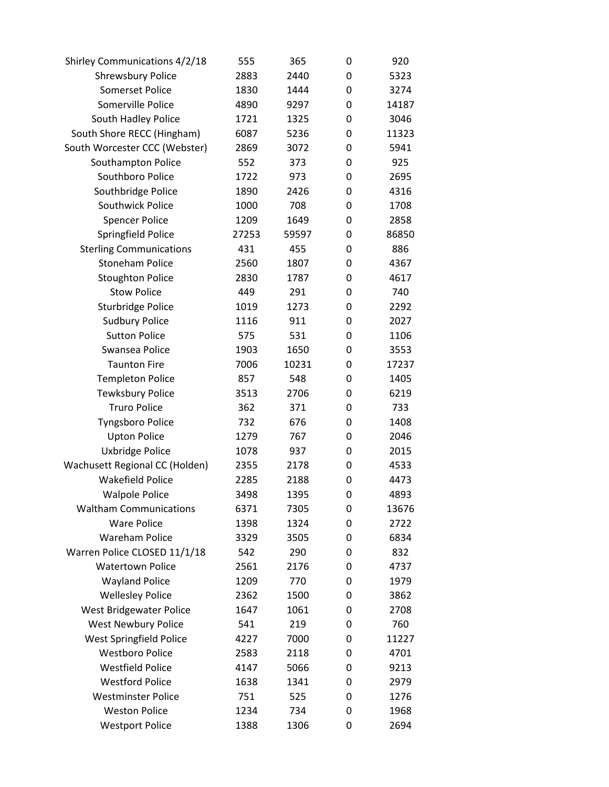| Shirley Communications 4/2/18  | 555   | 365   | 0 | 920   |
|--------------------------------|-------|-------|---|-------|
| <b>Shrewsbury Police</b>       | 2883  | 2440  | 0 | 5323  |
| <b>Somerset Police</b>         | 1830  | 1444  | 0 | 3274  |
| Somerville Police              | 4890  | 9297  | 0 | 14187 |
| South Hadley Police            | 1721  | 1325  | 0 | 3046  |
| South Shore RECC (Hingham)     | 6087  | 5236  | 0 | 11323 |
| South Worcester CCC (Webster)  | 2869  | 3072  | 0 | 5941  |
| Southampton Police             | 552   | 373   | 0 | 925   |
| Southboro Police               | 1722  | 973   | 0 | 2695  |
| Southbridge Police             | 1890  | 2426  | 0 | 4316  |
| Southwick Police               | 1000  | 708   | 0 | 1708  |
| <b>Spencer Police</b>          | 1209  | 1649  | 0 | 2858  |
| Springfield Police             | 27253 | 59597 | 0 | 86850 |
| <b>Sterling Communications</b> | 431   | 455   | 0 | 886   |
| <b>Stoneham Police</b>         | 2560  | 1807  | 0 | 4367  |
| <b>Stoughton Police</b>        | 2830  | 1787  | 0 | 4617  |
| <b>Stow Police</b>             | 449   | 291   | 0 | 740   |
| <b>Sturbridge Police</b>       | 1019  | 1273  | 0 | 2292  |
| <b>Sudbury Police</b>          | 1116  | 911   | 0 | 2027  |
| <b>Sutton Police</b>           | 575   | 531   | 0 | 1106  |
| Swansea Police                 | 1903  | 1650  | 0 | 3553  |
| <b>Taunton Fire</b>            | 7006  | 10231 | 0 | 17237 |
| <b>Templeton Police</b>        | 857   | 548   | 0 | 1405  |
| <b>Tewksbury Police</b>        | 3513  | 2706  | 0 | 6219  |
| <b>Truro Police</b>            | 362   | 371   | 0 | 733   |
| <b>Tyngsboro Police</b>        | 732   | 676   | 0 | 1408  |
| <b>Upton Police</b>            | 1279  | 767   | 0 | 2046  |
| Uxbridge Police                | 1078  | 937   | 0 | 2015  |
| Wachusett Regional CC (Holden) | 2355  | 2178  | 0 | 4533  |
| <b>Wakefield Police</b>        | 2285  | 2188  | 0 | 4473  |
| <b>Walpole Police</b>          | 3498  | 1395  | 0 | 4893  |
| <b>Waltham Communications</b>  | 6371  | 7305  | 0 | 13676 |
| <b>Ware Police</b>             | 1398  | 1324  | 0 | 2722  |
| <b>Wareham Police</b>          | 3329  | 3505  | 0 | 6834  |
| Warren Police CLOSED 11/1/18   | 542   | 290   | 0 | 832   |
| <b>Watertown Police</b>        | 2561  | 2176  | 0 | 4737  |
| <b>Wayland Police</b>          | 1209  | 770   | 0 | 1979  |
| <b>Wellesley Police</b>        | 2362  | 1500  | 0 | 3862  |
| West Bridgewater Police        | 1647  | 1061  | 0 | 2708  |
| <b>West Newbury Police</b>     | 541   | 219   | 0 | 760   |
| <b>West Springfield Police</b> | 4227  | 7000  | 0 | 11227 |
| <b>Westboro Police</b>         | 2583  | 2118  | 0 | 4701  |
| <b>Westfield Police</b>        | 4147  | 5066  | 0 | 9213  |
| <b>Westford Police</b>         | 1638  | 1341  | 0 | 2979  |
| <b>Westminster Police</b>      | 751   | 525   | 0 | 1276  |
| <b>Weston Police</b>           | 1234  | 734   | 0 | 1968  |
| <b>Westport Police</b>         | 1388  | 1306  | 0 | 2694  |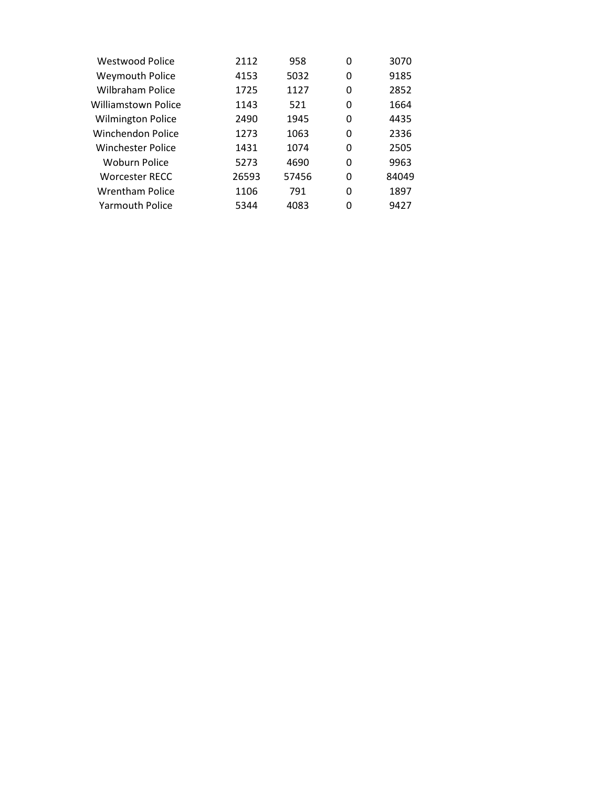| <b>Westwood Police</b>   | 2112  | 958   | 0 | 3070  |
|--------------------------|-------|-------|---|-------|
| <b>Weymouth Police</b>   | 4153  | 5032  | 0 | 9185  |
| Wilbraham Police         | 1725  | 1127  | 0 | 2852  |
| Williamstown Police      | 1143  | 521   | 0 | 1664  |
| <b>Wilmington Police</b> | 2490  | 1945  | 0 | 4435  |
| Winchendon Police        | 1273  | 1063  | 0 | 2336  |
| Winchester Police        | 1431  | 1074  | 0 | 2505  |
| <b>Woburn Police</b>     | 5273  | 4690  | 0 | 9963  |
| <b>Worcester RECC</b>    | 26593 | 57456 | 0 | 84049 |
| Wrentham Police          | 1106  | 791   | 0 | 1897  |
| <b>Yarmouth Police</b>   | 5344  | 4083  | 0 | 9427  |
|                          |       |       |   |       |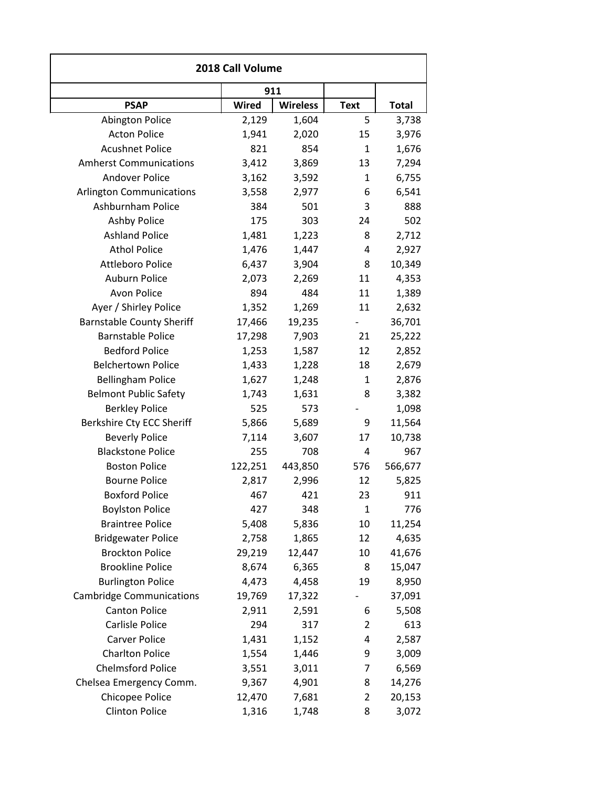| 2018 Call Volume                 |         |                 |                |              |
|----------------------------------|---------|-----------------|----------------|--------------|
|                                  | 911     |                 |                |              |
| <b>PSAP</b>                      | Wired   | <b>Wireless</b> | <b>Text</b>    | <b>Total</b> |
| <b>Abington Police</b>           | 2,129   | 1,604           | 5              | 3,738        |
| <b>Acton Police</b>              | 1,941   | 2,020           | 15             | 3,976        |
| <b>Acushnet Police</b>           | 821     | 854             | 1              | 1,676        |
| <b>Amherst Communications</b>    | 3,412   | 3,869           | 13             | 7,294        |
| <b>Andover Police</b>            | 3,162   | 3,592           | 1              | 6,755        |
| <b>Arlington Communications</b>  | 3,558   | 2,977           | 6              | 6,541        |
| Ashburnham Police                | 384     | 501             | 3              | 888          |
| <b>Ashby Police</b>              | 175     | 303             | 24             | 502          |
| <b>Ashland Police</b>            | 1,481   | 1,223           | 8              | 2,712        |
| <b>Athol Police</b>              | 1,476   | 1,447           | 4              | 2,927        |
| <b>Attleboro Police</b>          | 6,437   | 3,904           | 8              | 10,349       |
| Auburn Police                    | 2,073   | 2,269           | 11             | 4,353        |
| Avon Police                      | 894     | 484             | 11             | 1,389        |
| Ayer / Shirley Police            | 1,352   | 1,269           | 11             | 2,632        |
| <b>Barnstable County Sheriff</b> | 17,466  | 19,235          |                | 36,701       |
| <b>Barnstable Police</b>         | 17,298  | 7,903           | 21             | 25,222       |
| <b>Bedford Police</b>            | 1,253   | 1,587           | 12             | 2,852        |
| <b>Belchertown Police</b>        | 1,433   | 1,228           | 18             | 2,679        |
| <b>Bellingham Police</b>         | 1,627   | 1,248           | $\mathbf{1}$   | 2,876        |
| <b>Belmont Public Safety</b>     | 1,743   | 1,631           | 8              | 3,382        |
| <b>Berkley Police</b>            | 525     | 573             |                | 1,098        |
| Berkshire Cty ECC Sheriff        | 5,866   | 5,689           | 9              | 11,564       |
| <b>Beverly Police</b>            | 7,114   | 3,607           | 17             | 10,738       |
| <b>Blackstone Police</b>         | 255     | 708             | 4              | 967          |
| <b>Boston Police</b>             | 122,251 | 443,850         | 576            | 566,677      |
| <b>Bourne Police</b>             | 2,817   | 2,996           | 12             | 5,825        |
| <b>Boxford Police</b>            | 467     | 421             | 23             | 911          |
| <b>Boylston Police</b>           | 427     | 348             | 1              | 776          |
| <b>Braintree Police</b>          | 5,408   | 5,836           | 10             | 11,254       |
| <b>Bridgewater Police</b>        | 2,758   | 1,865           | 12             | 4,635        |
| <b>Brockton Police</b>           | 29,219  | 12,447          | 10             | 41,676       |
| <b>Brookline Police</b>          | 8,674   | 6,365           | 8              | 15,047       |
| <b>Burlington Police</b>         | 4,473   | 4,458           | 19             | 8,950        |
| <b>Cambridge Communications</b>  | 19,769  | 17,322          |                | 37,091       |
| <b>Canton Police</b>             | 2,911   | 2,591           | 6              | 5,508        |
| Carlisle Police                  | 294     | 317             | $\overline{2}$ | 613          |
| Carver Police                    | 1,431   | 1,152           | 4              | 2,587        |
| <b>Charlton Police</b>           | 1,554   | 1,446           | 9              | 3,009        |
| <b>Chelmsford Police</b>         | 3,551   | 3,011           | 7              | 6,569        |
| Chelsea Emergency Comm.          | 9,367   | 4,901           | 8              | 14,276       |
| Chicopee Police                  | 12,470  | 7,681           | 2              | 20,153       |
| <b>Clinton Police</b>            | 1,316   | 1,748           | 8              | 3,072        |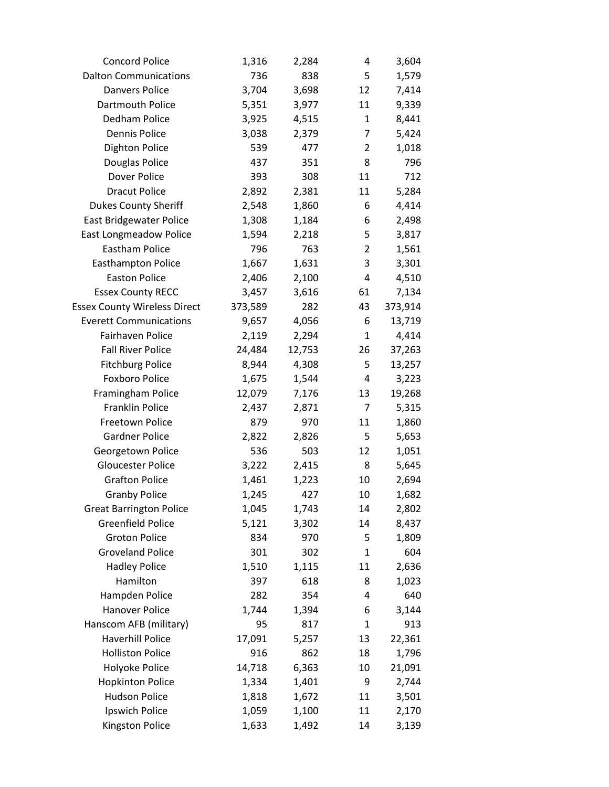| <b>Concord Police</b>               | 1,316   | 2,284  | 4              | 3,604   |
|-------------------------------------|---------|--------|----------------|---------|
| <b>Dalton Communications</b>        | 736     | 838    | 5              | 1,579   |
| <b>Danvers Police</b>               | 3,704   | 3,698  | 12             | 7,414   |
| Dartmouth Police                    | 5,351   | 3,977  | 11             | 9,339   |
| Dedham Police                       | 3,925   | 4,515  | 1              | 8,441   |
| <b>Dennis Police</b>                | 3,038   | 2,379  | 7              | 5,424   |
| Dighton Police                      | 539     | 477    | $\overline{2}$ | 1,018   |
| Douglas Police                      | 437     | 351    | 8              | 796     |
| Dover Police                        | 393     | 308    | 11             | 712     |
| <b>Dracut Police</b>                | 2,892   | 2,381  | 11             | 5,284   |
| <b>Dukes County Sheriff</b>         | 2,548   | 1,860  | 6              | 4,414   |
| <b>East Bridgewater Police</b>      | 1,308   | 1,184  | 6              | 2,498   |
| <b>East Longmeadow Police</b>       | 1,594   | 2,218  | 5              | 3,817   |
| <b>Eastham Police</b>               | 796     | 763    | $\overline{2}$ | 1,561   |
| <b>Easthampton Police</b>           | 1,667   | 1,631  | 3              | 3,301   |
| <b>Easton Police</b>                | 2,406   | 2,100  | 4              | 4,510   |
| <b>Essex County RECC</b>            | 3,457   | 3,616  | 61             | 7,134   |
| <b>Essex County Wireless Direct</b> | 373,589 | 282    | 43             | 373,914 |
| <b>Everett Communications</b>       | 9,657   | 4,056  | 6              | 13,719  |
| Fairhaven Police                    | 2,119   | 2,294  | 1              | 4,414   |
| <b>Fall River Police</b>            | 24,484  | 12,753 | 26             | 37,263  |
| <b>Fitchburg Police</b>             | 8,944   | 4,308  | 5              | 13,257  |
| <b>Foxboro Police</b>               | 1,675   | 1,544  | 4              | 3,223   |
| Framingham Police                   | 12,079  | 7,176  | 13             | 19,268  |
| <b>Franklin Police</b>              | 2,437   | 2,871  | 7              | 5,315   |
| Freetown Police                     | 879     | 970    | 11             | 1,860   |
| <b>Gardner Police</b>               | 2,822   | 2,826  | 5              | 5,653   |
| Georgetown Police                   | 536     | 503    | 12             | 1,051   |
| <b>Gloucester Police</b>            | 3,222   | 2,415  | 8              | 5,645   |
| <b>Grafton Police</b>               | 1,461   | 1,223  | 10             | 2,694   |
| <b>Granby Police</b>                | 1,245   | 427    | 10             | 1,682   |
| <b>Great Barrington Police</b>      | 1,045   | 1,743  | 14             | 2,802   |
| <b>Greenfield Police</b>            | 5,121   | 3,302  | 14             | 8,437   |
| <b>Groton Police</b>                | 834     | 970    | 5              | 1,809   |
| <b>Groveland Police</b>             | 301     | 302    | $\mathbf{1}$   | 604     |
| <b>Hadley Police</b>                | 1,510   | 1,115  | 11             | 2,636   |
| Hamilton                            | 397     | 618    | 8              | 1,023   |
| Hampden Police                      | 282     | 354    | 4              | 640     |
| <b>Hanover Police</b>               | 1,744   | 1,394  | 6              | 3,144   |
| Hanscom AFB (military)              | 95      | 817    | $\mathbf{1}$   | 913     |
| <b>Haverhill Police</b>             | 17,091  | 5,257  | 13             | 22,361  |
| <b>Holliston Police</b>             | 916     | 862    | 18             | 1,796   |
| Holyoke Police                      | 14,718  | 6,363  | 10             | 21,091  |
| <b>Hopkinton Police</b>             | 1,334   | 1,401  | 9              | 2,744   |
| <b>Hudson Police</b>                | 1,818   | 1,672  | 11             | 3,501   |
| Ipswich Police                      | 1,059   | 1,100  | 11             | 2,170   |
| Kingston Police                     | 1,633   | 1,492  | 14             | 3,139   |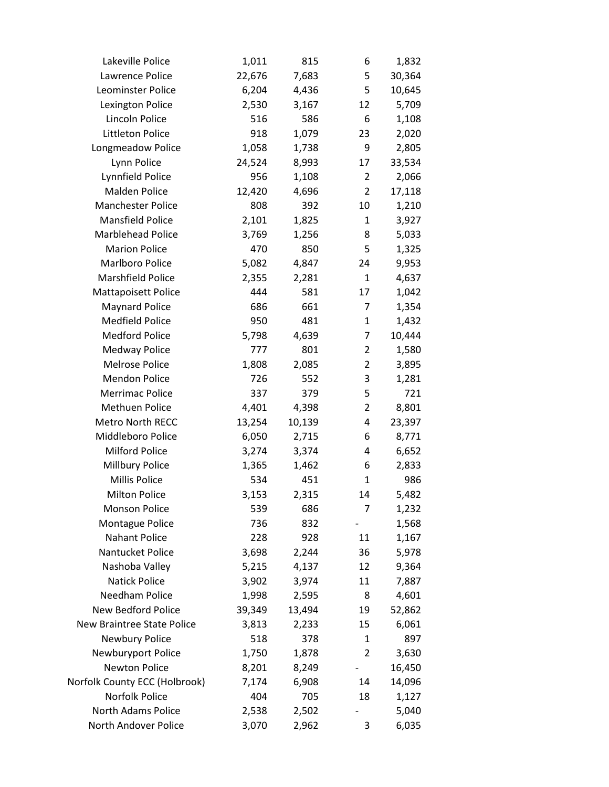| Lakeville Police              | 1,011  | 815    | 6              | 1,832  |
|-------------------------------|--------|--------|----------------|--------|
| Lawrence Police               | 22,676 | 7,683  | 5              | 30,364 |
| Leominster Police             | 6,204  | 4,436  | 5              | 10,645 |
| Lexington Police              | 2,530  | 3,167  | 12             | 5,709  |
| Lincoln Police                | 516    | 586    | 6              | 1,108  |
| Littleton Police              | 918    | 1,079  | 23             | 2,020  |
| Longmeadow Police             | 1,058  | 1,738  | 9              | 2,805  |
| Lynn Police                   | 24,524 | 8,993  | 17             | 33,534 |
| Lynnfield Police              | 956    | 1,108  | $\overline{2}$ | 2,066  |
| Malden Police                 | 12,420 | 4,696  | $\overline{2}$ | 17,118 |
| <b>Manchester Police</b>      | 808    | 392    | 10             | 1,210  |
| <b>Mansfield Police</b>       | 2,101  | 1,825  | $\mathbf{1}$   | 3,927  |
| Marblehead Police             | 3,769  | 1,256  | 8              | 5,033  |
| <b>Marion Police</b>          | 470    | 850    | 5              | 1,325  |
| <b>Marlboro Police</b>        | 5,082  | 4,847  | 24             | 9,953  |
| <b>Marshfield Police</b>      | 2,355  | 2,281  | $\mathbf{1}$   | 4,637  |
| Mattapoisett Police           | 444    | 581    | 17             | 1,042  |
| <b>Maynard Police</b>         | 686    | 661    | 7              | 1,354  |
| <b>Medfield Police</b>        | 950    | 481    | $\mathbf{1}$   | 1,432  |
| <b>Medford Police</b>         | 5,798  | 4,639  | 7              | 10,444 |
| <b>Medway Police</b>          | 777    | 801    | $\overline{2}$ | 1,580  |
| <b>Melrose Police</b>         | 1,808  | 2,085  | $\overline{2}$ | 3,895  |
| <b>Mendon Police</b>          | 726    | 552    | 3              | 1,281  |
| <b>Merrimac Police</b>        | 337    | 379    | 5              | 721    |
| <b>Methuen Police</b>         | 4,401  | 4,398  | $\overline{2}$ | 8,801  |
| Metro North RECC              | 13,254 | 10,139 | 4              | 23,397 |
| Middleboro Police             | 6,050  | 2,715  | 6              | 8,771  |
| <b>Milford Police</b>         | 3,274  | 3,374  | 4              | 6,652  |
| Millbury Police               | 1,365  | 1,462  | 6              | 2,833  |
| <b>Millis Police</b>          | 534    | 451    | 1              | 986    |
| <b>Milton Police</b>          | 3,153  | 2,315  | 14             | 5,482  |
| <b>Monson Police</b>          | 539    | 686    | 7              | 1,232  |
| Montague Police               | 736    | 832    |                | 1,568  |
| Nahant Police                 | 228    | 928    | 11             | 1,167  |
| Nantucket Police              | 3,698  | 2,244  | 36             | 5,978  |
| Nashoba Valley                | 5,215  | 4,137  | 12             | 9,364  |
| <b>Natick Police</b>          | 3,902  | 3,974  | 11             | 7,887  |
| Needham Police                | 1,998  | 2,595  | 8              | 4,601  |
| New Bedford Police            | 39,349 | 13,494 | 19             | 52,862 |
| New Braintree State Police    | 3,813  | 2,233  | 15             | 6,061  |
| <b>Newbury Police</b>         | 518    | 378    | 1              | 897    |
| Newburyport Police            | 1,750  | 1,878  | $\overline{2}$ | 3,630  |
| <b>Newton Police</b>          | 8,201  | 8,249  |                | 16,450 |
| Norfolk County ECC (Holbrook) | 7,174  | 6,908  | 14             | 14,096 |
| Norfolk Police                | 404    | 705    | 18             | 1,127  |
| North Adams Police            | 2,538  | 2,502  |                | 5,040  |
| North Andover Police          | 3,070  | 2,962  | 3              | 6,035  |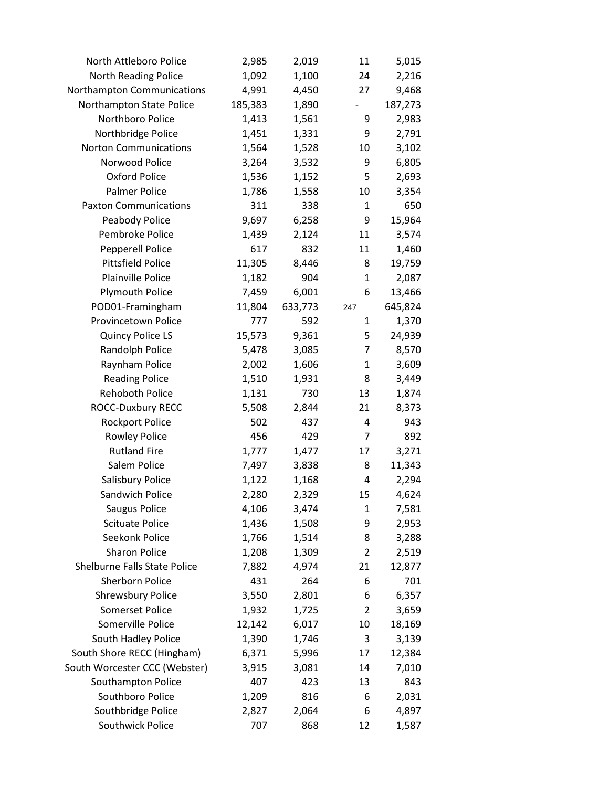| North Attleboro Police        | 2,985   | 2,019   | 11                           | 5,015   |
|-------------------------------|---------|---------|------------------------------|---------|
| North Reading Police          | 1,092   | 1,100   | 24                           | 2,216   |
| Northampton Communications    | 4,991   | 4,450   | 27                           | 9,468   |
| Northampton State Police      | 185,383 | 1,890   | $\qquad \qquad \blacksquare$ | 187,273 |
| Northboro Police              | 1,413   | 1,561   | 9                            | 2,983   |
| Northbridge Police            | 1,451   | 1,331   | 9                            | 2,791   |
| <b>Norton Communications</b>  | 1,564   | 1,528   | 10                           | 3,102   |
| Norwood Police                | 3,264   | 3,532   | 9                            | 6,805   |
| Oxford Police                 | 1,536   | 1,152   | 5                            | 2,693   |
| Palmer Police                 | 1,786   | 1,558   | 10                           | 3,354   |
| <b>Paxton Communications</b>  | 311     | 338     | 1                            | 650     |
| Peabody Police                | 9,697   | 6,258   | 9                            | 15,964  |
| Pembroke Police               | 1,439   | 2,124   | 11                           | 3,574   |
| Pepperell Police              | 617     | 832     | 11                           | 1,460   |
| <b>Pittsfield Police</b>      | 11,305  | 8,446   | 8                            | 19,759  |
| Plainville Police             | 1,182   | 904     | $\mathbf{1}$                 | 2,087   |
| <b>Plymouth Police</b>        | 7,459   | 6,001   | 6                            | 13,466  |
| POD01-Framingham              | 11,804  | 633,773 | 247                          | 645,824 |
| Provincetown Police           | 777     | 592     | $\mathbf{1}$                 | 1,370   |
| <b>Quincy Police LS</b>       | 15,573  | 9,361   | 5                            | 24,939  |
| Randolph Police               | 5,478   | 3,085   | 7                            | 8,570   |
| Raynham Police                | 2,002   | 1,606   | $\mathbf{1}$                 | 3,609   |
| <b>Reading Police</b>         | 1,510   | 1,931   | 8                            | 3,449   |
| Rehoboth Police               | 1,131   | 730     | 13                           | 1,874   |
| <b>ROCC-Duxbury RECC</b>      | 5,508   | 2,844   | 21                           | 8,373   |
| <b>Rockport Police</b>        | 502     | 437     | 4                            | 943     |
| Rowley Police                 | 456     | 429     | 7                            | 892     |
| <b>Rutland Fire</b>           | 1,777   | 1,477   | 17                           | 3,271   |
| Salem Police                  | 7,497   | 3,838   | 8                            | 11,343  |
| Salisbury Police              | 1,122   | 1,168   | 4                            | 2,294   |
| Sandwich Police               | 2,280   | 2,329   | 15                           | 4,624   |
| Saugus Police                 | 4,106   | 3,474   | 1                            | 7,581   |
| <b>Scituate Police</b>        | 1,436   | 1,508   | 9                            | 2,953   |
| Seekonk Police                | 1,766   | 1,514   | 8                            | 3,288   |
| <b>Sharon Police</b>          | 1,208   | 1,309   | $\overline{2}$               | 2,519   |
| Shelburne Falls State Police  | 7,882   | 4,974   | 21                           | 12,877  |
| <b>Sherborn Police</b>        | 431     | 264     | 6                            | 701     |
| <b>Shrewsbury Police</b>      | 3,550   | 2,801   | 6                            | 6,357   |
| <b>Somerset Police</b>        | 1,932   | 1,725   | $\overline{2}$               | 3,659   |
| Somerville Police             | 12,142  | 6,017   | 10                           | 18,169  |
| South Hadley Police           | 1,390   | 1,746   | 3                            | 3,139   |
| South Shore RECC (Hingham)    | 6,371   | 5,996   | 17                           | 12,384  |
| South Worcester CCC (Webster) | 3,915   | 3,081   | 14                           | 7,010   |
| Southampton Police            | 407     | 423     | 13                           | 843     |
| Southboro Police              | 1,209   | 816     | 6                            | 2,031   |
| Southbridge Police            | 2,827   | 2,064   | 6                            | 4,897   |
| Southwick Police              | 707     | 868     | 12                           | 1,587   |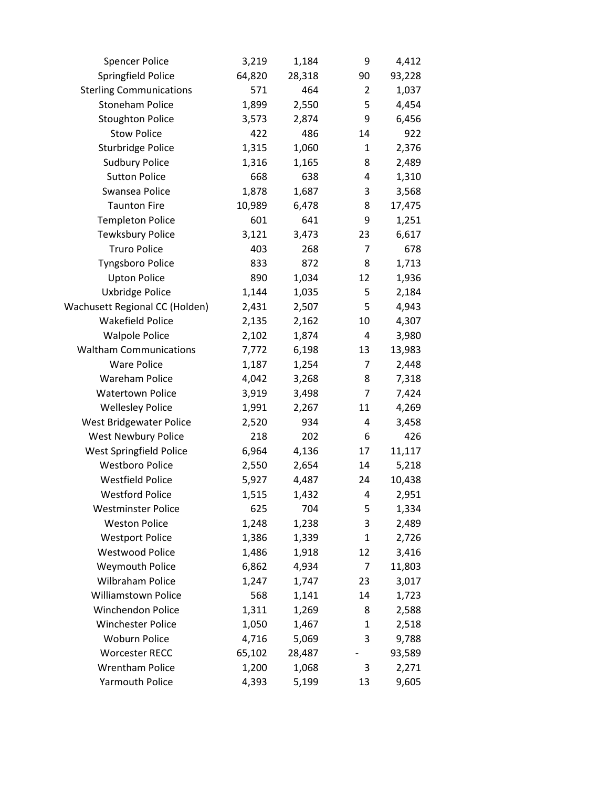| <b>Spencer Police</b>          | 3,219  | 1,184  | 9  | 4,412  |
|--------------------------------|--------|--------|----|--------|
| Springfield Police             | 64,820 | 28,318 | 90 | 93,228 |
| <b>Sterling Communications</b> | 571    | 464    | 2  | 1,037  |
| <b>Stoneham Police</b>         | 1,899  | 2,550  | 5  | 4,454  |
| <b>Stoughton Police</b>        | 3,573  | 2,874  | 9  | 6,456  |
| <b>Stow Police</b>             | 422    | 486    | 14 | 922    |
| Sturbridge Police              | 1,315  | 1,060  | 1  | 2,376  |
| <b>Sudbury Police</b>          | 1,316  | 1,165  | 8  | 2,489  |
| <b>Sutton Police</b>           | 668    | 638    | 4  | 1,310  |
| Swansea Police                 | 1,878  | 1,687  | 3  | 3,568  |
| <b>Taunton Fire</b>            | 10,989 | 6,478  | 8  | 17,475 |
| <b>Templeton Police</b>        | 601    | 641    | 9  | 1,251  |
| <b>Tewksbury Police</b>        | 3,121  | 3,473  | 23 | 6,617  |
| <b>Truro Police</b>            | 403    | 268    | 7  | 678    |
| <b>Tyngsboro Police</b>        | 833    | 872    | 8  | 1,713  |
| <b>Upton Police</b>            | 890    | 1,034  | 12 | 1,936  |
| Uxbridge Police                | 1,144  | 1,035  | 5  | 2,184  |
| Wachusett Regional CC (Holden) | 2,431  | 2,507  | 5  | 4,943  |
| <b>Wakefield Police</b>        | 2,135  | 2,162  | 10 | 4,307  |
| <b>Walpole Police</b>          | 2,102  | 1,874  | 4  | 3,980  |
| <b>Waltham Communications</b>  | 7,772  | 6,198  | 13 | 13,983 |
| <b>Ware Police</b>             | 1,187  | 1,254  | 7  | 2,448  |
| <b>Wareham Police</b>          | 4,042  | 3,268  | 8  | 7,318  |
| <b>Watertown Police</b>        | 3,919  | 3,498  | 7  | 7,424  |
| <b>Wellesley Police</b>        | 1,991  | 2,267  | 11 | 4,269  |
| West Bridgewater Police        | 2,520  | 934    | 4  | 3,458  |
| <b>West Newbury Police</b>     | 218    | 202    | 6  | 426    |
| <b>West Springfield Police</b> | 6,964  | 4,136  | 17 | 11,117 |
| <b>Westboro Police</b>         | 2,550  | 2,654  | 14 | 5,218  |
| <b>Westfield Police</b>        | 5,927  | 4,487  | 24 | 10,438 |
| <b>Westford Police</b>         | 1,515  | 1,432  | 4  | 2,951  |
| <b>Westminster Police</b>      | 625    | 704    | 5  | 1,334  |
| <b>Weston Police</b>           | 1,248  | 1,238  | 3  | 2,489  |
| <b>Westport Police</b>         | 1,386  | 1,339  | 1  | 2,726  |
| <b>Westwood Police</b>         | 1,486  | 1,918  | 12 | 3,416  |
| <b>Weymouth Police</b>         | 6,862  | 4,934  | 7  | 11,803 |
| Wilbraham Police               | 1,247  | 1,747  | 23 | 3,017  |
| <b>Williamstown Police</b>     | 568    | 1,141  | 14 | 1,723  |
| <b>Winchendon Police</b>       | 1,311  | 1,269  | 8  | 2,588  |
| <b>Winchester Police</b>       | 1,050  | 1,467  | 1  | 2,518  |
| <b>Woburn Police</b>           | 4,716  | 5,069  | 3  | 9,788  |
| <b>Worcester RECC</b>          | 65,102 | 28,487 |    | 93,589 |
| <b>Wrentham Police</b>         | 1,200  | 1,068  | 3  | 2,271  |
| <b>Yarmouth Police</b>         | 4,393  | 5,199  | 13 | 9,605  |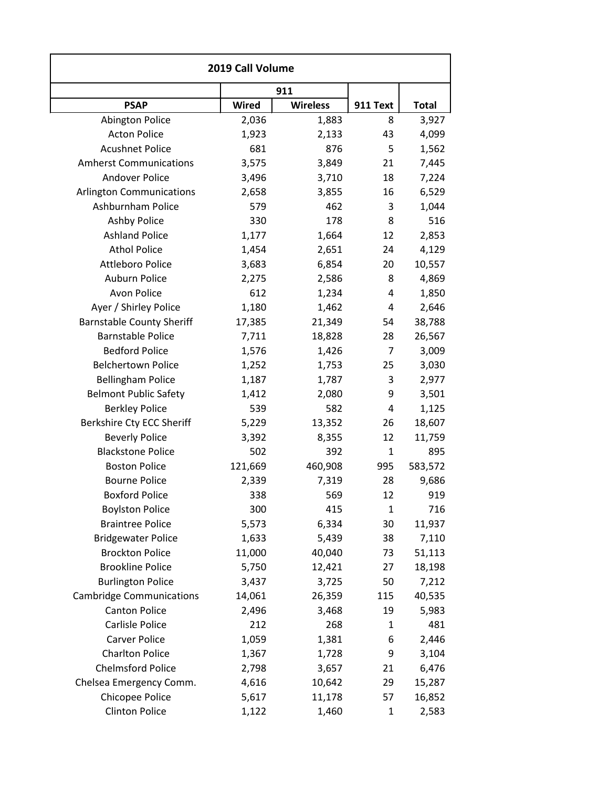| 2019 Call Volume                 |              |                 |              |              |
|----------------------------------|--------------|-----------------|--------------|--------------|
|                                  |              | 911             |              |              |
| <b>PSAP</b>                      | <b>Wired</b> | <b>Wireless</b> | 911 Text     | <b>Total</b> |
| <b>Abington Police</b>           | 2,036        | 1,883           | 8            | 3,927        |
| <b>Acton Police</b>              | 1,923        | 2,133           | 43           | 4,099        |
| <b>Acushnet Police</b>           | 681          | 876             | 5            | 1,562        |
| <b>Amherst Communications</b>    | 3,575        | 3,849           | 21           | 7,445        |
| <b>Andover Police</b>            | 3,496        | 3,710           | 18           | 7,224        |
| <b>Arlington Communications</b>  | 2,658        | 3,855           | 16           | 6,529        |
| Ashburnham Police                | 579          | 462             | 3            | 1,044        |
| <b>Ashby Police</b>              | 330          | 178             | 8            | 516          |
| <b>Ashland Police</b>            | 1,177        | 1,664           | 12           | 2,853        |
| <b>Athol Police</b>              | 1,454        | 2,651           | 24           | 4,129        |
| <b>Attleboro Police</b>          | 3,683        | 6,854           | 20           | 10,557       |
| Auburn Police                    | 2,275        | 2,586           | 8            | 4,869        |
| Avon Police                      | 612          | 1,234           | 4            | 1,850        |
| Ayer / Shirley Police            | 1,180        | 1,462           | 4            | 2,646        |
| <b>Barnstable County Sheriff</b> | 17,385       | 21,349          | 54           | 38,788       |
| <b>Barnstable Police</b>         | 7,711        | 18,828          | 28           | 26,567       |
| <b>Bedford Police</b>            | 1,576        | 1,426           | 7            | 3,009        |
| <b>Belchertown Police</b>        | 1,252        | 1,753           | 25           | 3,030        |
| <b>Bellingham Police</b>         | 1,187        | 1,787           | 3            | 2,977        |
| <b>Belmont Public Safety</b>     | 1,412        | 2,080           | 9            | 3,501        |
| <b>Berkley Police</b>            | 539          | 582             | 4            | 1,125        |
| Berkshire Cty ECC Sheriff        | 5,229        | 13,352          | 26           | 18,607       |
| <b>Beverly Police</b>            | 3,392        | 8,355           | 12           | 11,759       |
| <b>Blackstone Police</b>         | 502          | 392             | $\mathbf{1}$ | 895          |
| <b>Boston Police</b>             | 121,669      | 460,908         | 995          | 583,572      |
| <b>Bourne Police</b>             | 2,339        | 7,319           | 28           | 9,686        |
| <b>Boxford Police</b>            | 338          | 569             | 12           | 919          |
| <b>Boylston Police</b>           | 300          | 415             | $\mathbf{1}$ | 716          |
| <b>Braintree Police</b>          | 5,573        | 6,334           | 30           | 11,937       |
| <b>Bridgewater Police</b>        | 1,633        | 5,439           | 38           | 7,110        |
| <b>Brockton Police</b>           | 11,000       | 40,040          | 73           | 51,113       |
| <b>Brookline Police</b>          | 5,750        | 12,421          | 27           | 18,198       |
| <b>Burlington Police</b>         | 3,437        | 3,725           | 50           | 7,212        |
| <b>Cambridge Communications</b>  | 14,061       | 26,359          | 115          | 40,535       |
| <b>Canton Police</b>             | 2,496        | 3,468           | 19           | 5,983        |
| Carlisle Police                  | 212          | 268             | 1            | 481          |
| Carver Police                    | 1,059        | 1,381           | 6            | 2,446        |
| <b>Charlton Police</b>           | 1,367        | 1,728           | 9            | 3,104        |
| <b>Chelmsford Police</b>         | 2,798        | 3,657           | 21           | 6,476        |
| Chelsea Emergency Comm.          | 4,616        | 10,642          | 29           | 15,287       |
| Chicopee Police                  | 5,617        | 11,178          | 57           | 16,852       |
| <b>Clinton Police</b>            | 1,122        | 1,460           | $\mathbf{1}$ | 2,583        |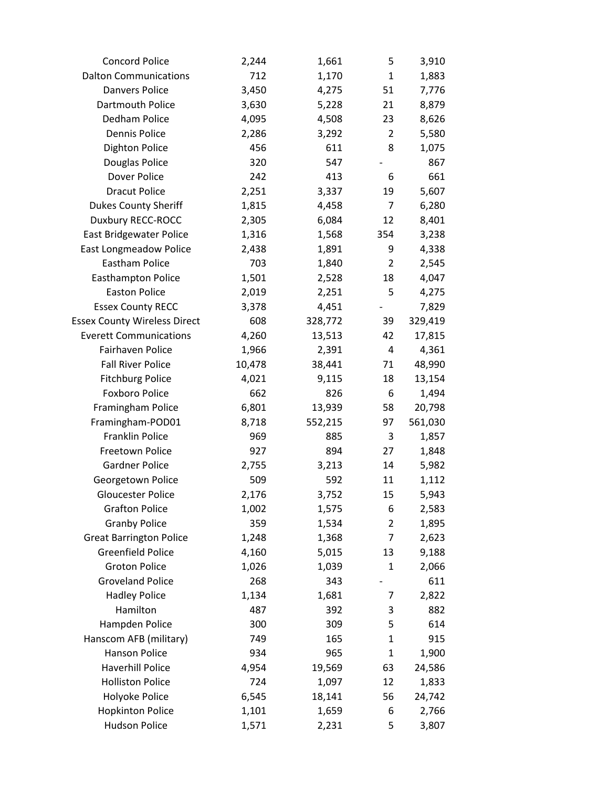| <b>Concord Police</b>               | 2,244  | 1,661   | 5              | 3,910   |
|-------------------------------------|--------|---------|----------------|---------|
| <b>Dalton Communications</b>        | 712    | 1,170   | $\mathbf{1}$   | 1,883   |
| <b>Danvers Police</b>               | 3,450  | 4,275   | 51             | 7,776   |
| Dartmouth Police                    | 3,630  | 5,228   | 21             | 8,879   |
| Dedham Police                       | 4,095  | 4,508   | 23             | 8,626   |
| Dennis Police                       | 2,286  | 3,292   | 2              | 5,580   |
| <b>Dighton Police</b>               | 456    | 611     | 8              | 1,075   |
| Douglas Police                      | 320    | 547     |                | 867     |
| Dover Police                        | 242    | 413     | 6              | 661     |
| <b>Dracut Police</b>                | 2,251  | 3,337   | 19             | 5,607   |
| <b>Dukes County Sheriff</b>         | 1,815  | 4,458   | 7              | 6,280   |
| Duxbury RECC-ROCC                   | 2,305  | 6,084   | 12             | 8,401   |
| East Bridgewater Police             | 1,316  | 1,568   | 354            | 3,238   |
| East Longmeadow Police              | 2,438  | 1,891   | 9              | 4,338   |
| <b>Eastham Police</b>               | 703    | 1,840   | $\overline{2}$ | 2,545   |
| Easthampton Police                  | 1,501  | 2,528   | 18             | 4,047   |
| <b>Easton Police</b>                | 2,019  | 2,251   | 5              | 4,275   |
| <b>Essex County RECC</b>            | 3,378  | 4,451   |                | 7,829   |
| <b>Essex County Wireless Direct</b> | 608    | 328,772 | 39             | 329,419 |
| <b>Everett Communications</b>       | 4,260  | 13,513  | 42             | 17,815  |
| Fairhaven Police                    | 1,966  | 2,391   | 4              | 4,361   |
| <b>Fall River Police</b>            | 10,478 | 38,441  | 71             | 48,990  |
| <b>Fitchburg Police</b>             | 4,021  | 9,115   | 18             | 13,154  |
| <b>Foxboro Police</b>               | 662    | 826     | 6              | 1,494   |
| Framingham Police                   | 6,801  | 13,939  | 58             | 20,798  |
| Framingham-POD01                    | 8,718  | 552,215 | 97             | 561,030 |
| <b>Franklin Police</b>              | 969    | 885     | 3              | 1,857   |
| Freetown Police                     | 927    | 894     | 27             | 1,848   |
| <b>Gardner Police</b>               | 2,755  | 3,213   | 14             | 5,982   |
| Georgetown Police                   | 509    | 592     | 11             | 1,112   |
| <b>Gloucester Police</b>            | 2,176  | 3,752   | 15             | 5,943   |
| <b>Grafton Police</b>               | 1,002  | 1,575   | 6              | 2,583   |
| <b>Granby Police</b>                | 359    | 1,534   | $\overline{2}$ | 1,895   |
| <b>Great Barrington Police</b>      | 1,248  | 1,368   | 7              | 2,623   |
| <b>Greenfield Police</b>            | 4,160  | 5,015   | 13             | 9,188   |
| <b>Groton Police</b>                | 1,026  | 1,039   | $\mathbf{1}$   | 2,066   |
| <b>Groveland Police</b>             | 268    | 343     |                | 611     |
| <b>Hadley Police</b>                | 1,134  | 1,681   | 7              | 2,822   |
| Hamilton                            | 487    | 392     | 3              | 882     |
| Hampden Police                      | 300    | 309     | 5              | 614     |
| Hanscom AFB (military)              | 749    | 165     | $\mathbf{1}$   | 915     |
| <b>Hanson Police</b>                | 934    | 965     | $\mathbf{1}$   | 1,900   |
| <b>Haverhill Police</b>             | 4,954  | 19,569  | 63             | 24,586  |
| <b>Holliston Police</b>             | 724    | 1,097   | 12             | 1,833   |
| Holyoke Police                      | 6,545  | 18,141  | 56             | 24,742  |
| <b>Hopkinton Police</b>             | 1,101  | 1,659   | 6              | 2,766   |
| <b>Hudson Police</b>                | 1,571  | 2,231   | 5              | 3,807   |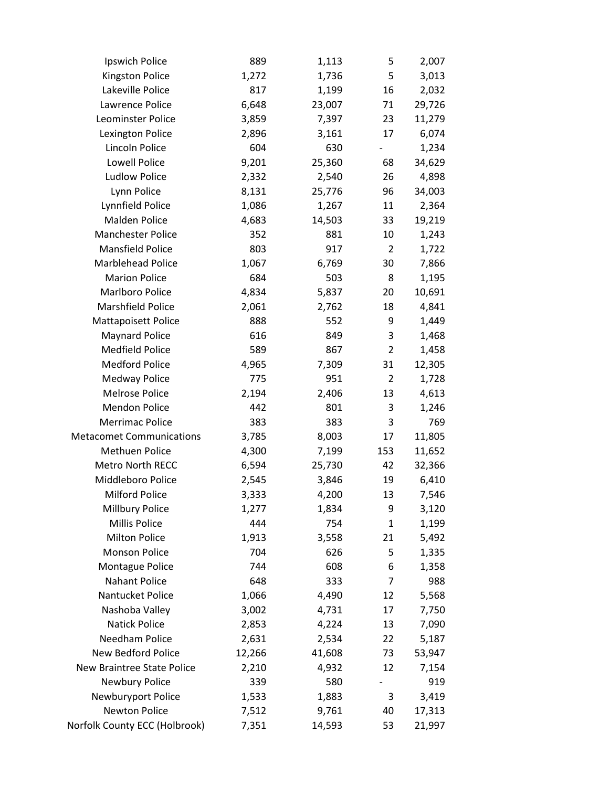| Ipswich Police                  | 889    | 1,113  | 5              | 2,007  |
|---------------------------------|--------|--------|----------------|--------|
| Kingston Police                 | 1,272  | 1,736  | 5              | 3,013  |
| Lakeville Police                | 817    | 1,199  | 16             | 2,032  |
| Lawrence Police                 | 6,648  | 23,007 | 71             | 29,726 |
| Leominster Police               | 3,859  | 7,397  | 23             | 11,279 |
| Lexington Police                | 2,896  | 3,161  | 17             | 6,074  |
| Lincoln Police                  | 604    | 630    |                | 1,234  |
| Lowell Police                   | 9,201  | 25,360 | 68             | 34,629 |
| <b>Ludlow Police</b>            | 2,332  | 2,540  | 26             | 4,898  |
| Lynn Police                     | 8,131  | 25,776 | 96             | 34,003 |
| Lynnfield Police                | 1,086  | 1,267  | 11             | 2,364  |
| Malden Police                   | 4,683  | 14,503 | 33             | 19,219 |
| <b>Manchester Police</b>        | 352    | 881    | 10             | 1,243  |
| <b>Mansfield Police</b>         | 803    | 917    | $\overline{2}$ | 1,722  |
| <b>Marblehead Police</b>        | 1,067  | 6,769  | 30             | 7,866  |
| <b>Marion Police</b>            | 684    | 503    | 8              | 1,195  |
| Marlboro Police                 | 4,834  | 5,837  | 20             | 10,691 |
| Marshfield Police               | 2,061  | 2,762  | 18             | 4,841  |
| <b>Mattapoisett Police</b>      | 888    | 552    | 9              | 1,449  |
| <b>Maynard Police</b>           | 616    | 849    | 3              | 1,468  |
| <b>Medfield Police</b>          | 589    | 867    | $\overline{2}$ | 1,458  |
| <b>Medford Police</b>           | 4,965  | 7,309  | 31             | 12,305 |
| <b>Medway Police</b>            | 775    | 951    | $\overline{2}$ | 1,728  |
| <b>Melrose Police</b>           | 2,194  | 2,406  | 13             | 4,613  |
| <b>Mendon Police</b>            | 442    | 801    | 3              | 1,246  |
| <b>Merrimac Police</b>          | 383    | 383    | 3              | 769    |
| <b>Metacomet Communications</b> | 3,785  | 8,003  | 17             | 11,805 |
| <b>Methuen Police</b>           | 4,300  | 7,199  | 153            | 11,652 |
| <b>Metro North RECC</b>         | 6,594  | 25,730 | 42             | 32,366 |
| Middleboro Police               | 2,545  | 3,846  | 19             | 6,410  |
| <b>Milford Police</b>           | 3,333  | 4,200  | 13             | 7,546  |
| <b>Millbury Police</b>          | 1,277  | 1,834  | 9              | 3,120  |
| Millis Police                   | 444    | 754    | $\mathbf{1}$   | 1,199  |
| <b>Milton Police</b>            | 1,913  | 3,558  | 21             | 5,492  |
| <b>Monson Police</b>            | 704    | 626    | 5              | 1,335  |
| <b>Montague Police</b>          | 744    | 608    | 6              | 1,358  |
| Nahant Police                   | 648    | 333    | 7              | 988    |
| Nantucket Police                | 1,066  | 4,490  | 12             | 5,568  |
| Nashoba Valley                  | 3,002  | 4,731  | 17             | 7,750  |
| <b>Natick Police</b>            | 2,853  | 4,224  | 13             | 7,090  |
| Needham Police                  | 2,631  | 2,534  | 22             | 5,187  |
| New Bedford Police              | 12,266 | 41,608 | 73             | 53,947 |
| New Braintree State Police      | 2,210  | 4,932  | 12             | 7,154  |
| Newbury Police                  | 339    | 580    |                | 919    |
| Newburyport Police              | 1,533  | 1,883  | 3              | 3,419  |
| <b>Newton Police</b>            | 7,512  | 9,761  | 40             | 17,313 |
| Norfolk County ECC (Holbrook)   | 7,351  | 14,593 | 53             | 21,997 |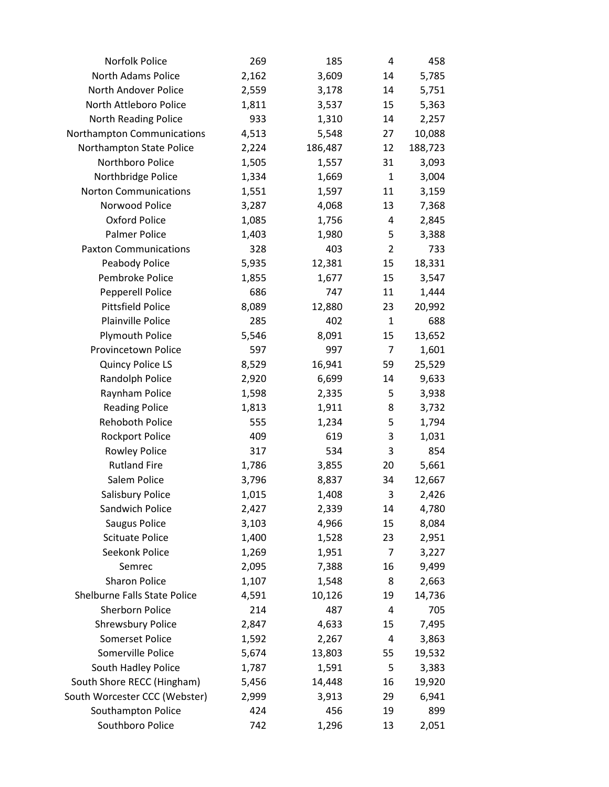| Norfolk Police                | 269   | 185     | 4              | 458     |
|-------------------------------|-------|---------|----------------|---------|
| North Adams Police            | 2,162 | 3,609   | 14             | 5,785   |
| North Andover Police          | 2,559 | 3,178   | 14             | 5,751   |
| North Attleboro Police        | 1,811 | 3,537   | 15             | 5,363   |
| North Reading Police          | 933   | 1,310   | 14             | 2,257   |
| Northampton Communications    | 4,513 | 5,548   | 27             | 10,088  |
| Northampton State Police      | 2,224 | 186,487 | 12             | 188,723 |
| Northboro Police              | 1,505 | 1,557   | 31             | 3,093   |
| Northbridge Police            | 1,334 | 1,669   | $\mathbf{1}$   | 3,004   |
| <b>Norton Communications</b>  | 1,551 | 1,597   | 11             | 3,159   |
| Norwood Police                | 3,287 | 4,068   | 13             | 7,368   |
| Oxford Police                 | 1,085 | 1,756   | 4              | 2,845   |
| <b>Palmer Police</b>          | 1,403 | 1,980   | 5              | 3,388   |
| <b>Paxton Communications</b>  | 328   | 403     | $\overline{2}$ | 733     |
| Peabody Police                | 5,935 | 12,381  | 15             | 18,331  |
| Pembroke Police               | 1,855 | 1,677   | 15             | 3,547   |
| <b>Pepperell Police</b>       | 686   | 747     | 11             | 1,444   |
| <b>Pittsfield Police</b>      | 8,089 | 12,880  | 23             | 20,992  |
| Plainville Police             | 285   | 402     | $\mathbf{1}$   | 688     |
| <b>Plymouth Police</b>        | 5,546 | 8,091   | 15             | 13,652  |
| Provincetown Police           | 597   | 997     | $\overline{7}$ | 1,601   |
| <b>Quincy Police LS</b>       | 8,529 | 16,941  | 59             | 25,529  |
| Randolph Police               | 2,920 | 6,699   | 14             | 9,633   |
| Raynham Police                | 1,598 | 2,335   | 5              | 3,938   |
| <b>Reading Police</b>         | 1,813 | 1,911   | 8              | 3,732   |
| Rehoboth Police               | 555   | 1,234   | 5              | 1,794   |
| <b>Rockport Police</b>        | 409   | 619     | 3              | 1,031   |
| <b>Rowley Police</b>          | 317   | 534     | 3              | 854     |
| <b>Rutland Fire</b>           | 1,786 | 3,855   | 20             | 5,661   |
| Salem Police                  | 3,796 | 8,837   | 34             | 12,667  |
| Salisbury Police              | 1,015 | 1,408   | 3              | 2,426   |
| Sandwich Police               | 2,427 | 2,339   | 14             | 4,780   |
| Saugus Police                 | 3,103 | 4,966   | 15             | 8,084   |
| <b>Scituate Police</b>        | 1,400 | 1,528   | 23             | 2,951   |
| Seekonk Police                | 1,269 | 1,951   | $\overline{7}$ | 3,227   |
| Semrec                        | 2,095 | 7,388   | 16             | 9,499   |
| <b>Sharon Police</b>          | 1,107 | 1,548   | 8              | 2,663   |
| Shelburne Falls State Police  | 4,591 | 10,126  | 19             | 14,736  |
| <b>Sherborn Police</b>        | 214   | 487     | 4              | 705     |
| <b>Shrewsbury Police</b>      | 2,847 | 4,633   | 15             | 7,495   |
| <b>Somerset Police</b>        | 1,592 | 2,267   | 4              | 3,863   |
| Somerville Police             | 5,674 | 13,803  | 55             | 19,532  |
| South Hadley Police           | 1,787 | 1,591   | 5              | 3,383   |
| South Shore RECC (Hingham)    | 5,456 | 14,448  | 16             | 19,920  |
| South Worcester CCC (Webster) | 2,999 | 3,913   | 29             | 6,941   |
| Southampton Police            | 424   | 456     | 19             | 899     |
| Southboro Police              | 742   | 1,296   | 13             | 2,051   |